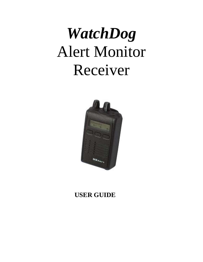# *WatchDog* Alert Monitor Receiver



# **USER GUIDE**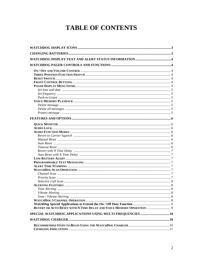# **TABLE OF CONTENTS**

| <b>REVERT OR AUTO RESET WITH N TIME DELAY AND VOICE MEMORY OPERATION</b> 9 |  |
|----------------------------------------------------------------------------|--|
|                                                                            |  |
|                                                                            |  |
|                                                                            |  |
|                                                                            |  |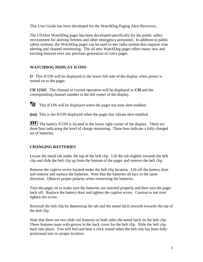This User Guide has been developed for the WatchDog Paging Alert Receivers.

The USAlert WatchDog pager has been developed specifically for the public safety environment for alerting firemen and other emergency personnel. In addition to public safety systems, the WatchDog pager can be used in any radio system that requires tone alerting and channel monitoring. The all new WatchDog pager offers many new and exciting features over any previous generation of voice pager.

# <span id="page-2-0"></span>**WATCHDOG DISPLAY ICONS**

*O* This ICON will be displayed in the lower left side of the display when power is turned on to the pager.

*CH 12345* The channel in current operation will be displayed as **CH** and the corresponding channel number in the left center of the display.

This ICON will be displayed when the pager has tone alert enabled.

**((o))** This is the ICON displayed when the pager has vibrate alert enabled.

The battery ICON is located in the lower right corner of the display. There are three bars indicating the level of charge remaining. Three bars indicate a fully charged set of batteries.

# <span id="page-2-1"></span>**CHANGING BATTERIES**

Locate the metal tab under the top of the belt clip. Lift the tab slightly towards the belt clip and slide the belt clip up from the bottom of the pager and remove the belt clip.

Remove the captive screw located under the belt clip location. Lift off the battery door and remove and replace the batteries. Note that the batteries all face in the same direction. Observe proper polarity when reinserting the batteries.

Turn the pager on to make sure the batteries are inserted properly and then turn the pager back off. Replace the battery door and tighten the captive screw. Caution to not over tighten the screw.

Reinstall the belt clip by depressing the tab and the metal latch inwards towards the top of the belt clip.

Note that there are two slide rail features on both sides the metal latch on the belt clip. These features mate with groves in the back cover for the belt clip. Slide the belt clip back into place. You will feel and hear a click sound when the belt clip has been fully positioned into its proper location.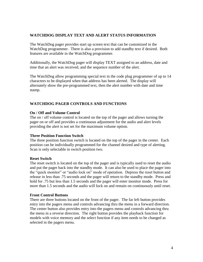## <span id="page-3-0"></span>**WATCHDOG DISPLAY TEXT AND ALERT STATUS INFORMATION**

The WatchDog pager provides start up screen text that can be customized in the WatchDog programmer. There is also a provision to add standby text if desired. Both features are available in the WatchDog programmer.

Additionally, the WatchDog pager will display TEXT assigned to an address, date and time that an alert was received, and the sequence number of the alert.

The WatchDog allow programming special text in the code plug programmer of up to 14 characters to be displayed when that address has been alerted. The display will alternately show the pre-programmed text, then the alert number with date and time stamp.

# <span id="page-3-1"></span>**WATCHDOG PAGER CONTROLS AND FUNCTIONS**

#### <span id="page-3-2"></span>**On / Off and Volume Control**

The on / off volume control is located on the top of the pager and allows turning the pager on or off and provides a continuous adjustment for the audio and alert levels providing the alert is not set for the maximum volume option.

#### <span id="page-3-3"></span>**Three Position Function Switch**

The three position function switch is located on the top of the pager in the center. Each position can be individually programmed for the channel desired and type of alerting. Scan is only selectable in switch position two.

#### <span id="page-3-4"></span>**Reset Switch**

The reset switch is located on the top of the pager and is typically used to reset the audio and put the pager back into the standby mode. It can also be used to place the pager into the "quick monitor" or "audio lock on" mode of operation. Depress the reset button and release in less than .75 seconds and the pager will return to the standby mode. Press and hold for .75 but less than 1.5 seconds and the pager will enter monitor mode. Press for more than 1.5 seconds and the audio will lock on and remain on continuously until reset.

#### <span id="page-3-5"></span>**Front Control Buttons**

There are three buttons located on the front of the pager. The far left button provides entry into the pagers menu and controls advancing thru the menu in a forward direction. The center button also provides entry into the pagers menu and controls advancing thru the menu in a reverse direction. The right button provides the playback function for models with voice memory and the select function if any item needs to be changed as selected in the pagers menu.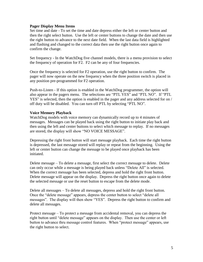#### <span id="page-4-0"></span>**Pager Display Menu Items**

<span id="page-4-1"></span>Set time and date - To set the time and date depress either the left or center button and then the right select button. Use the left or center buttons to change the date and then use the right button to advance to the next date field. When the last data field is highlighted and flashing and changed to the correct data then use the right button once again to confirm the change.

<span id="page-4-2"></span>Set frequency - In the WatchDog five channel models, there is a menu provision to select the frequency of operation for F2. F2 can be any of four frequencies.

Once the frequency is selected for F2 operation, use the right button to confirm. The pager will now operate on the new frequency when the three position switch is placed in any position pre-programmed for F2 operation.

<span id="page-4-3"></span>Push-to-Listen - If this option is enabled in the WatchDog programmer, the option will also appear in the pagers menu. The selections are "PTL YES" and "PTL NO". If "PTL YES" is selected, then the option is enabled in the pager and any address selected for on / off duty will be disabled. You can turn off PTL by selecting "PTL NO".

### <span id="page-4-4"></span>**Voice Memory Playback**

WatchDog models with voice memory can dynamically record up to 4 minutes of messages. Messages can be played back using the right button to initiate play back and then using the left and center buttons to select which message to replay. If no messages are stored, the display will show "NO VOICE MESSAGE".

Depressing the right front button will start message playback. Each time the right button is depressed, the last message stored will replay or repeat from the beginning. Using the left or center button can change the message to be played once playback has been initiated.

<span id="page-4-5"></span>Delete message – To delete a message, first select the correct message to delete. Delete can only occur while a message is being played back unless "Delete All" is selected. When the correct message has been selected, depress and hold the right front button. Delete message will appear on the display. Depress the right button once again to delete the selected message or use the reset button to escape from the delete mode.

<span id="page-4-6"></span>Delete all messages – To delete all messages, depress and hold the right front button. Once the "delete message" appears, depress the center button to select "delete all messages". The display will then show "YES". Depress the right button to confirm and delete all messages.

<span id="page-4-7"></span>Protect message – To protect a message from accidental removal, you can depress the right button until "delete message" appears on the display. Then use the center or left button to advance thru message control features. When "protect message" appears, use the right button to select.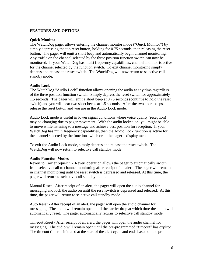# <span id="page-5-0"></span>**FEATURES AND OPTIONS**

#### <span id="page-5-1"></span>**Quick Monitor**

The WatchDog pager allows entering the channel monitor mode ("Quick Monitor") by simply depressing the top reset button, holding for 0.75 seconds, then releasing the reset button. The pager will emit a short beep and automatically begin channel monitoring. Any traffic on the channel selected by the three position function switch can now be monitored. If your WatchDog has multi frequency capabilities, channel monitor is active for the channel selected by the function switch. To exit channel monitoring simply depress and release the reset switch. The WatchDog will now return to selective call standby mode.

#### <span id="page-5-2"></span>**Audio Lock**

The WatchDog "Audio Lock" function allows opening the audio at any time regardless of the three position function switch. Simply depress the reset switch for approximately 1.5 seconds. The pager will emit a short beep at 0.75 seconds (continue to hold the reset switch) and you will hear two short beeps at 1.5 seconds. After the two short beeps, release the reset button and you are in the Audio Lock mode.

Audio Lock mode is useful in lower signal conditions where voice quality (reception) may be changing due to pager movement. With the audio locked on, you might be able to move while listening to a message and achieve best position for reception. If your WatchDog has multi frequency capabilities, then the Audio Lock function is active for the channel selected by the function switch or in the pager's display menu.

To exit the Audio Lock mode, simply depress and release the reset switch. The WatchDog will now return to selective call standby mode.

#### <span id="page-5-3"></span>**Audio Function Modes**

<span id="page-5-4"></span>Revert to Carrier Squelch - Revert operation allows the pager to automatically switch from selective call to channel monitoring after receipt of an alert. The pager will remain in channel monitoring until the reset switch is depressed and released. At this time, the pager will return to selective call standby mode.

<span id="page-5-5"></span>Manual Reset - After receipt of an alert, the pager will open the audio channel for messaging and lock the audio on until the reset switch is depressed and released. At this time, the pager will return to selective call standby mode.

<span id="page-5-6"></span>Auto Reset - After receipt of an alert, the pager will open the audio channel for messaging. The audio will remain open until the carrier drop at which time the audio will automatically reset. The pager automatically returns to selective call standby mode.

<span id="page-5-7"></span>Timeout Reset - After receipt of an alert, the pager will open the audio channel for messaging. The audio will remain open until the pre-programmed "timeout" has expired. The timeout timer is initiated at the start of the alert cycle and ends based on the pre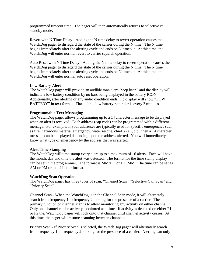programmed timeout time. The pager will then automatically returns to selective call standby mode.

<span id="page-6-0"></span>Revert with N Time Delay - Adding the N time delay to revert operation causes the WatchDog pager to disregard the state of the carrier during the N time. The N time begins immediately after the alerting cycle and ends on N timeout. At this time, the WatchDog will enter normal revert to carrier squelch operation.

<span id="page-6-1"></span>Auto Reset with N Time Delay - Adding the N time delay to revert operation causes the WatchDog pager to disregard the state of the carrier during the N time. The N time begins immediately after the alerting cycle and ends on N timeout. At this time, the WatchDog will enter normal auto reset operation.

# <span id="page-6-2"></span>**Low Battery Alert**

The WatchDog pager will provide an audible tone alert "beep beep" and the display will indicate a low battery condition by no bars being displayed in the battery ICON. Additionally, after alerting or any audio condition ends, the display will show "LOW BATTERY" in text format. The audible low battery reminder is every 2 minutes.

### <span id="page-6-3"></span>**Programmable Text Messaging**

The WatchDog pager allows programming up to a 14 character message to be displayed when an alert is received. Each address (cap code) can be programmed with a different message. For example, if your addresses are typically used for specific emergencies such as fire, hazardous material emergency, water rescue, chief's call, etc., then a 14 character message can be displayed depending upon the address alerted. You will immediately know what type of emergency by the address that was alerted.

# <span id="page-6-4"></span>**Alert Time Stamping**

The WatchDog will time stamp every alert up to a maximum of 16 alerts. Each will have the month, day and time the alert was detected. The format for the time stamp display can be set in the programmer. The format is MM/DD or DD/MM. The time can be set as AM or PM or in a 24 hour format.

#### <span id="page-6-5"></span>**WatchDog Scan Operation**

The WatchDog pager has three types of scan, "Channel Scan", "Selective Call Scan" and "Priority Scan".

<span id="page-6-6"></span>Channel Scan - When the WatchDog is in the Channel Scan mode, it will alternately search from frequency 1 to frequency 2 looking for the presence of a carrier. The primary function of channel scan is to allow monitoring any activity on either channel. Only one channel can be actively monitored at a time. If activity is detected on either F1 or F2 the, WatchDog pager will lock onto that channel until channel activity ceases. At this time, the pager will resume scanning between channels.

<span id="page-6-7"></span>Priority Scan - If Priority Scan is selected, the WatchDog pager will alternately search from frequency 1 to frequency 2 looking for the presence of a carrier. Alerting can only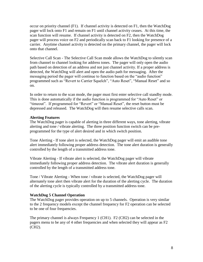occur on priority channel (F1). If channel activity is detected on F1, then the WatchDog pager will lock onto F1 and remain on F1 until channel activity ceases. At this time, the scan function will resume. If channel activity is detected on F2, then the WatchDog pager will process voice on F2 and periodically scan back to F1 looking for presence of a carrier. Anytime channel activity is detected on the primary channel, the pager will lock onto that channel.

<span id="page-7-0"></span>Selective Call Scan - The Selective Call Scan mode allows the WatchDog to silently scan from channel to channel looking for address tones. The pager will only open the audio path based on detection of an address and not just channel activity. If a proper address is detected, the WatchDog will alert and open the audio path for messaging. After the messaging period the pager will continue to function based on the "audio function" programmed such as "Revert to Carrier Squelch", "Auto Reset", "Manual Reset" and so on.

In order to return to the scan mode, the pager must first enter selective call standby mode. This is done automatically if the audio function is programmed for "Auto Reset" or "timeout". If programmed for "Revert" or "Manual Reset", the reset button must be depressed and released. The WatchDog will then resume selective calls scan.

# <span id="page-7-1"></span>**Alerting Features**

The WatchDog pager is capable of alerting in three different ways, tone alerting, vibrate alerting and tone / vibrate alerting. The three position function switch can be preprogrammed for the type of alert desired and in which switch position.

<span id="page-7-2"></span>Tone Alerting - If tone alert is selected, the WatchDog pager will emit an audible tone alert immediately following proper address detection. The tone alert duration is generally controlled by the length of a transmitted address tone.

<span id="page-7-3"></span>Vibrate Alerting - If vibrate alert is selected, the WatchDog pager will vibrate immediately following proper address detection. The vibrate alert duration is generally controlled by the length of a transmitted address tone.

<span id="page-7-4"></span>Tone / Vibrate Alerting - When tone / vibrate is selected, the WatchDog pager will alternately tone alert then vibrate alert for the duration of the alerting cycle. The duration of the alerting cycle is typically controlled by a transmitted address tone.

#### <span id="page-7-5"></span>**WatchDog 5 Channel Operation**

The WatchDog pager provides operation on up to 5 channels. Operation is very similar to the 2 frequency models except the channel frequency for F2 operation can be selected to be one of four frequencies.

The primary channel is always Frequency 1 (CH1). F2 (CH2) can be selected in the pagers menu to be any of 4 other frequencies and when selected they will appear as F2 (CH2).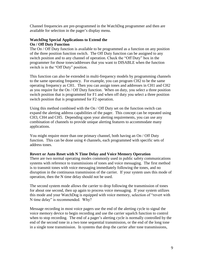Channel frequencies are pre-programmed in the WatchDog programmer and then are available for selection in the pager's display menu.

## <span id="page-8-0"></span>**WatchDog Special Applications to Extend the On / Off Duty Function**

<span id="page-8-1"></span>The On / Off Duty function is available to be programmed as a function on any position of the three position function switch. The Off Duty function can be assigned to any switch position and to any channel of operation. Check the "Off Duty" box in the programmer for those tones/addresses that you want to DISABLE when the function switch is in the "Off Duty" position.

This function can also be extended in multi-frequency models by programming channels to the same operating frequency. For example, you can program CH2 to be the same operating frequency as CH1. Then you can assign tones and addresses in CH1 and CH2 as you require for the On / Off Duty function. When on duty, you select a three position switch position that is programmed for F1 and when off duty you select a three position switch position that is programmed for F2 operation.

Using this method combined with the On / Off Duty set on the function switch can expand the alerting address capabilities of the pager. This concept can be repeated using CH3, CH4 and CH5. Depending upon your alerting requirements, you can use any combination of channels to provide unique alerting features to accommodate many applications.

You might require more than one primary channel, both having an On / Off Duty function. This can be done using 4 channels, each programmed with specific sets of address tones.

# <span id="page-8-2"></span>**Revert or Auto Reset with N Time Delay and Voice Memory Operation**

There are two normal operating modes commonly used in public safety communications systems with reference to transmissions of tones and voice messaging. The first method is to transmit tones with voice messaging immediately following the tones, and no disruption in the continuous transmission of the carrier. If your system uses this mode of operation, then the N time delay should not be used.

The second system mode allows the carrier to drop following the transmission of tones for about one second, then up again to process voice messaging. If your system utilizes this mode and your WatchDog is equipped with voice memory, selection of "revert with N time delay" is recommended. Why?

Message recording in most voice pagers use the end of the alerting cycle to signal the voice memory device to begin recording and use the carrier squelch function to control when to stop recording. The end of a pager's alerting cycle is normally controlled by the end of the second tone in a two tone sequential transmission, or the end of the long tone in a single tone transmission. In systems that drop the carrier after tone transmissions,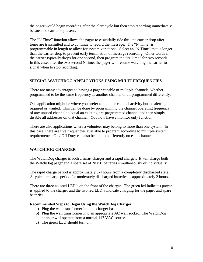the pager would begin recording after the alert cycle but then stop recording immediately because no carrier is present.

The "N Time" function allows the pager to essentially ride thru the carrier drop after tones are transmitted and to continue to record the message. The "N Time" is programmable in length to allow for system variations. Select an "N Time" that is longer than the carrier drop to prevent early termination of message recording. Other words if the carrier typically drops for one second, then program the "N Time" for two seconds. In this case, after the two second N time, the pager will resume watching the carrier to signal when to stop recording.

# <span id="page-9-0"></span>**SPECIAL WATCHDOG APPLICATIONS USING MULTI-FREQUENCIES**

There are many advantages to having a pager capable of multiple channels, whether programmed to be the same frequency as another channel or all programmed differently.

One application might be where you prefer to monitor channel activity but no alerting is required or wanted. This can be done by programming the channel operating frequency of any unused channel to equal an existing pre-programmed channel and then simply disable all addresses on that channel. You now have a monitor only function.

There are also applications where a volunteer may belong to more than one system. In this case, there are five frequencies available to program according to multiple system requirements. On / Off Duty can also be applied differently on each channel.

# <span id="page-9-1"></span>**WATCHDOG CHARGER**

The WatchDog charger is both a smart charger and a rapid charger. It will charge both the WatchDog pager and a spare set of NiMH batteries simultaneously or individually.

The rapid charge period is approximately 3-4 hours from a completely discharged state. A typical recharge period for moderately discharged batteries is approximately 2 hours.

There are three colored LED's on the front of the charger. The green led indicates power is applied to the charger and the two red LED's indicate charging for the pager and spare batteries.

# <span id="page-9-2"></span>**Recommended Steps to Begin Using the WatchDog Charger**

- a) Plug the wall transformer into the charger base.
- b) Plug the wall transformer into an appropriate AC wall socket. The WatchDog charger will operate from a normal 117 VAC source.
- c) The green LED should turn on.